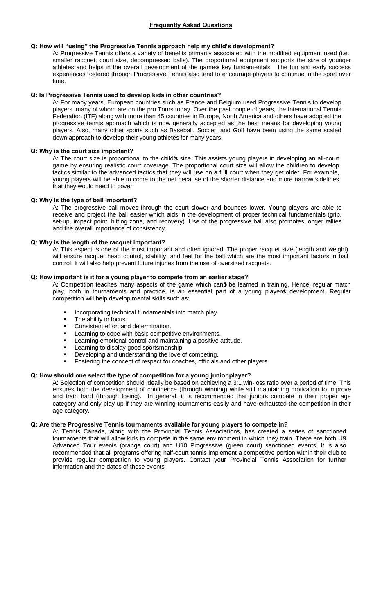# **Q: How will "using" the Progressive Tennis approach help my child's development?**

A: Progressive Tennis offers a variety of benefits primarily associated with the modified equipment used (i.e., smaller racquet, court size, decompressed balls). The proportional equipment supports the size of younger athletes and helps in the overall development of the game of key fundamentals. The fun and early success experiences fostered through Progressive Tennis also tend to encourage players to continue in the sport over time.

# **Q: Is Progressive Tennis used to develop kids in other countries?**

A: For many years, European countries such as France and Belgium used Progressive Tennis to develop players, many of whom are on the pro Tours today. Over the past couple of years, the International Tennis Federation (ITF) along with more than 45 countries in Europe, North America and others have adopted the progressive tennis approach which is now generally accepted as the best means for developing young players. Also, many other sports such as Baseball, Soccer, and Golf have been using the same scaled down approach to develop their young athletes for many years.

# **Q: Why is the court size important?**

A: The court size is proportional to the child s size. This assists young players in developing an all-court game by ensuring realistic court coverage. The proportional court size will allow the children to develop tactics similar to the advanced tactics that they will use on a full court when they get older. For example, young players will be able to come to the net because of the shorter distance and more narrow sidelines that they would need to cover.

#### **Q: Why is the type of ball important?**

A: The progressive ball moves through the court slower and bounces lower. Young players are able to receive and project the ball easier which aids in the development of proper technical fundamentals (grip, set-up, impact point, hitting zone, and recovery). Use of the progressive ball also promotes longer rallies and the overall importance of consistency.

# **Q: Why is the length of the racquet important?**

A: This aspect is one of the most important and often ignored. The proper racquet size (length and weight) will ensure racquet head control, stability, and feel for the ball which are the most important factors in ball control. It will also help prevent future injuries from the use of oversized racquets.

# **Q: How important is it for a young player to compete from an earlier stage?**

A: Competition teaches many aspects of the game which cand be learned in training. Hence, regular match play, both in tournaments and practice, is an essential part of a young playero development. Regular competition will help develop mental skills such as:

- ß Incorporating technical fundamentals into match play.
- The ability to focus.
- ß Consistent effort and determination.
- Learning to cope with basic competitive environments.
- Learning emotional control and maintaining a positive attitude.
- ß Learning to display good sportsmanship.
- Developing and understanding the love of competing.
- ß Fostering the concept of respect for coaches, officials and other players.

#### **Q: How should one select the type of competition for a young junior player?**

A: Selection of competition should ideally be based on achieving a 3:1 win-loss ratio over a period of time. This ensures both the development of confidence (through winning) while still maintaining motivation to improve and train hard (through losing). In general, it is recommended that juniors compete in their proper age category and only play up if they are winning tournaments easily and have exhausted the competition in their age category.

### **Q: Are there Progressive Tennis tournaments available for young players to compete in?**

A: Tennis Canada, along with the Provincial Tennis Associations, has created a series of sanctioned tournaments that will allow kids to compete in the same environment in which they train. There are both U9 Advanced Tour events (orange court) and U10 Progressive (green court) sanctioned events. It is also recommended that all programs offering half-court tennis implement a competitive portion within their club to provide regular competition to young players. Contact your Provincial Tennis Association for further information and the dates of these events.